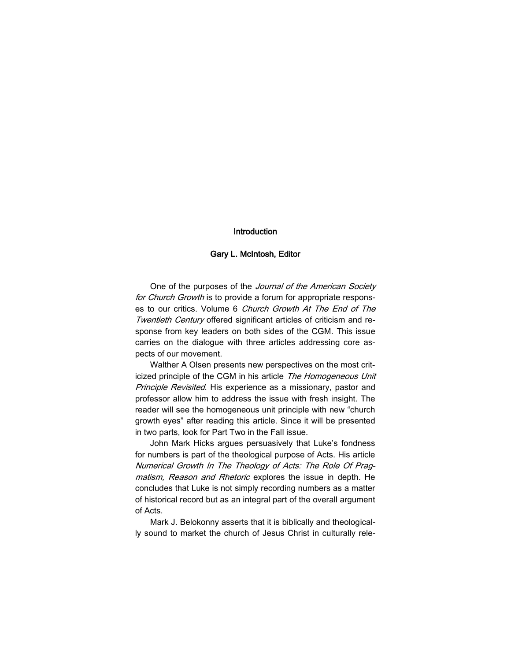## Introduction

## Gary L. McIntosh, Editor

One of the purposes of the Journal of the American Society for Church Growth is to provide a forum for appropriate responses to our critics. Volume 6 Church Growth At The End of The Twentieth Century offered significant articles of criticism and response from key leaders on both sides of the CGM. This issue carries on the dialogue with three articles addressing core aspects of our movement.

Walther A Olsen presents new perspectives on the most criticized principle of the CGM in his article The Homogeneous Unit Principle Revisited. His experience as a missionary, pastor and professor allow him to address the issue with fresh insight. The reader will see the homogeneous unit principle with new "church growth eyes" after reading this article. Since it will be presented in two parts, look for Part Two in the Fall issue.

John Mark Hicks argues persuasively that Luke's fondness for numbers is part of the theological purpose of Acts. His article Numerical Growth In The Theology of Acts: The Role Of Pragmatism, Reason and Rhetoric explores the issue in depth. He concludes that Luke is not simply recording numbers as a matter of historical record but as an integral part of the overall argument of Acts.

Mark J. Belokonny asserts that it is biblically and theologically sound to market the church of Jesus Christ in culturally rele